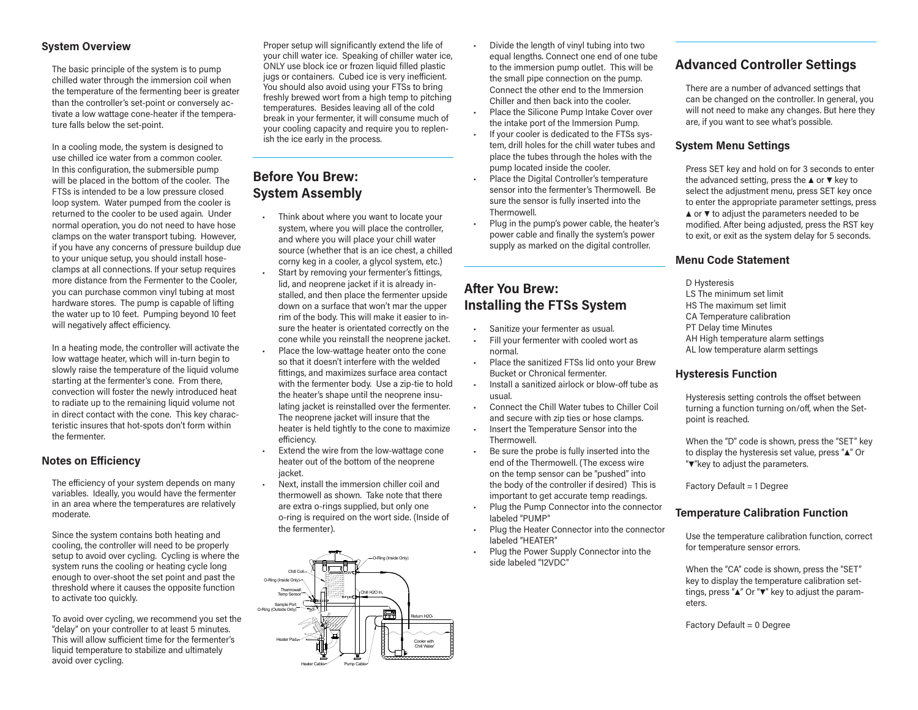## **System Overview**

The basic principle of the system is to pump chilled water through the immersion coil when the temperature of the fermenting beer is greater than the controller's set-point or conversely activate a low wattage cone-heater if the temperature falls below the set-point.

In a cooling mode, the system is designed to use chilled ice water from a common cooler. In this configuration, the submersible pump will be placed in the bottom of the cooler. The FTSs is intended to be a low pressure closed loop system. Water pumped from the cooler is returned to the cooler to be used again. Under normal operation, you do not need to have hose clamps on the water transport tubing. However, if you have any concerns of pressure buildup due to your unique setup, you should install hoseclamps at all connections. If your setup requires more distance from the Fermenter to the Cooler, you can purchase common vinyl tubing at most hardware stores. The pump is capable of lifting the water up to 10 feet. Pumping beyond 10 feet will negatively affect efficiency.

In a heating mode, the controller will activate the low wattage heater, which will in-turn begin to slowly raise the temperature of the liquid volume starting at the fermenter's cone. From there, convection will foster the newly introduced heat to radiate up to the remaining liquid volume not in direct contact with the cone. This key characteristic insures that hot-spots don't form within the fermenter.

#### **Notes on Efficiency**

The efficiency of your system depends on many variables. Ideally, you would have the fermenter in an area where the temperatures are relatively moderate.

Since the system contains both heating and cooling, the controller will need to be properly setup to avoid over cycling. Cycling is where the system runs the cooling or heating cycle long enough to over-shoot the set point and past the threshold where it causes the opposite function to activate too quickly.

To avoid over cycling, we recommend you set the "delay" on your controller to at least 5 minutes. This will allow sufficient time for the fermenter's liquid temperature to stabilize and ultimately avoid over cycling.

Proper setup will significantly extend the life of your chill water ice. Speaking of chiller water ice, ONLY use block ice or frozen liquid filled plastic jugs or containers. Cubed ice is very inefficient. You should also avoid using your FTSs to bring freshly brewed wort from a high temp to pitching temperatures. Besides leaving all of the cold break in your fermenter, it will consume much of your cooling capacity and require you to replenish the ice early in the process.

## **Before You Brew: System Assembly**

- Think about where you want to locate your system, where you will place the controller, and where you will place your chill water source (whether that is an ice chest, a chilled corny keg in a cooler, a glycol system, etc.)
- Start by removing your fermenter's fittings, lid, and neoprene jacket if it is already installed, and then place the fermenter upside down on a surface that won't mar the upper rim of the body. This will make it easier to insure the heater is orientated correctly on the cone while you reinstall the neoprene jacket.
- Place the low-wattage heater onto the cone so that it doesn't interfere with the welded fittings, and maximizes surface area contact with the fermenter body. Use a zip-tie to hold the heater's shape until the neoprene insulating jacket is reinstalled over the fermenter. The neoprene jacket will insure that the heater is held tightly to the cone to maximize efficiency.
- Extend the wire from the low-wattage cone heater out of the bottom of the neoprene jacket.
- Next, install the immersion chiller coil and thermowell as shown. Take note that there are extra o-rings supplied, but only one o-ring is required on the wort side. (Inside of the fermenter).



- Divide the length of vinyl tubing into two equal lengths. Connect one end of one tube to the immersion pump outlet. This will be the small pipe connection on the pump. Connect the other end to the Immersion Chiller and then back into the cooler.
- Place the Silicone Pump Intake Cover over the intake port of the Immersion Pump.
- If your cooler is dedicated to the FTSs system, drill holes for the chill water tubes and place the tubes through the holes with the pump located inside the cooler.
- Place the Digital Controller's temperature sensor into the fermenter's Thermowell. Be sure the sensor is fully inserted into the Thermowell.
- Plug in the pump's power cable, the heater's power cable and finally the system's power supply as marked on the digital controller.

# **After You Brew: Installing the FTSs System**

- Sanitize your fermenter as usual.
- Fill your fermenter with cooled wort as normal.
- Place the sanitized FTSs lid onto your Brew Bucket or Chronical fermenter.
- Install a sanitized airlock or blow-off tube as usual.
- Connect the Chill Water tubes to Chiller Coil and secure with zip ties or hose clamps. • Insert the Temperature Sensor into the
- Thermowell.
- Be sure the probe is fully inserted into the end of the Thermowell. (The excess wire on the temp sensor can be "pushed" into the body of the controller if desired) This is important to get accurate temp readings.
- Plug the Pump Connector into the connector labeled "PUMP"
- Plug the Heater Connector into the connector labeled "HEATER"
- Plug the Power Supply Connector into the side labeled "12VDC"

# **Advanced Controller Settings**

There are a number of advanced settings that can be changed on the controller. In general, you will not need to make any changes. But here they are, if you want to see what's possible.

## **System Menu Settings**

Press SET key and hold on for 3 seconds to enter the advanced setting, press the ▲ or ▼ key to select the adjustment menu, press SET key once to enter the appropriate parameter settings, press ▲ or ▼ to adjust the parameters needed to be modified. After being adjusted, press the RST key to exit, or exit as the system delay for 5 seconds.

#### **Menu Code Statement**

D Hysteresis LS The minimum set limit HS The maximum set limit CA Temperature calibration PT Delay time Minutes AH High temperature alarm settings AL low temperature alarm settings

## **Hysteresis Function**

Hysteresis setting controls the offset between turning a function turning on/off, when the Setpoint is reached.

When the "D" code is shown, press the "SET" key to display the hysteresis set value, press "▲" Or "▼"key to adjust the parameters.

Factory Default = 1 Degree

## **Temperature Calibration Function**

Use the temperature calibration function, correct for temperature sensor errors.

When the "CA" code is shown, press the "SET" key to display the temperature calibration settings, press "▲" Or "▼" key to adjust the parameters.

Factory Default = 0 Degree